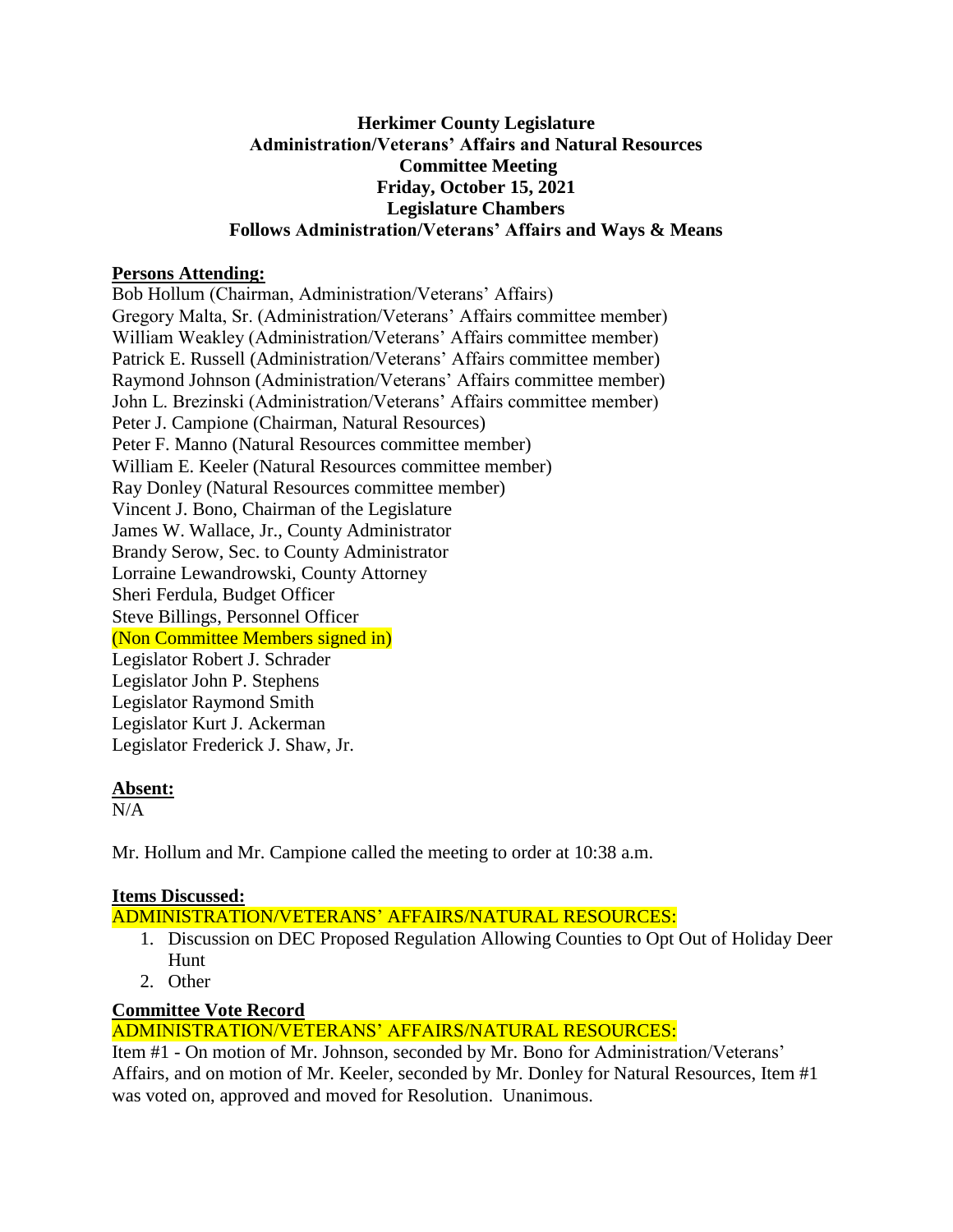#### **Herkimer County Legislature Administration/Veterans' Affairs and Natural Resources Committee Meeting Friday, October 15, 2021 Legislature Chambers Follows Administration/Veterans' Affairs and Ways & Means**

#### **Persons Attending:**

Bob Hollum (Chairman, Administration/Veterans' Affairs) Gregory Malta, Sr. (Administration/Veterans' Affairs committee member) William Weakley (Administration/Veterans' Affairs committee member) Patrick E. Russell (Administration/Veterans' Affairs committee member) Raymond Johnson (Administration/Veterans' Affairs committee member) John L. Brezinski (Administration/Veterans' Affairs committee member) Peter J. Campione (Chairman, Natural Resources) Peter F. Manno (Natural Resources committee member) William E. Keeler (Natural Resources committee member) Ray Donley (Natural Resources committee member) Vincent J. Bono, Chairman of the Legislature James W. Wallace, Jr., County Administrator Brandy Serow, Sec. to County Administrator Lorraine Lewandrowski, County Attorney Sheri Ferdula, Budget Officer Steve Billings, Personnel Officer (Non Committee Members signed in) Legislator Robert J. Schrader Legislator John P. Stephens Legislator Raymond Smith Legislator Kurt J. Ackerman Legislator Frederick J. Shaw, Jr.

## **Absent:**

 $N/A$ 

Mr. Hollum and Mr. Campione called the meeting to order at 10:38 a.m.

## **Items Discussed:**

ADMINISTRATION/VETERANS' AFFAIRS/NATURAL RESOURCES:

- 1. Discussion on DEC Proposed Regulation Allowing Counties to Opt Out of Holiday Deer Hunt
- 2. Other

## **Committee Vote Record**

# ADMINISTRATION/VETERANS' AFFAIRS/NATURAL RESOURCES:

Item #1 - On motion of Mr. Johnson, seconded by Mr. Bono for Administration/Veterans' Affairs, and on motion of Mr. Keeler, seconded by Mr. Donley for Natural Resources, Item #1 was voted on, approved and moved for Resolution. Unanimous.